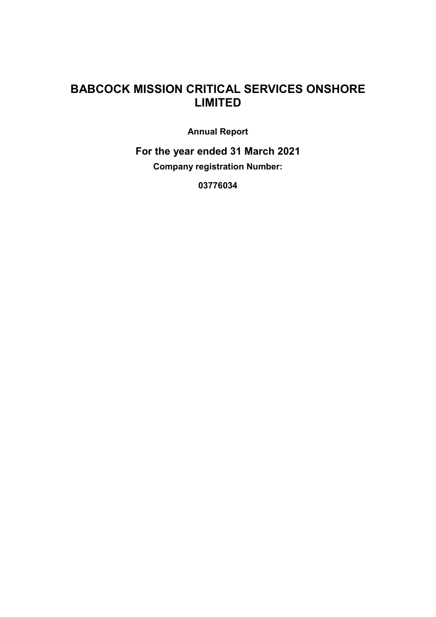Annual Report

For the year ended 31 March 2021 Company registration Number:

03776034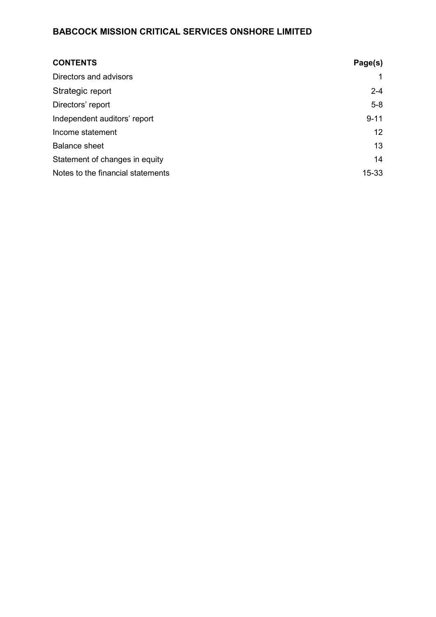| <b>CONTENTS</b>                   | Page(s)   |
|-----------------------------------|-----------|
| Directors and advisors            |           |
| Strategic report                  | $2 - 4$   |
| Directors' report                 | $5-8$     |
| Independent auditors' report      | $9 - 11$  |
| Income statement                  | 12        |
| <b>Balance sheet</b>              | 13        |
| Statement of changes in equity    | 14        |
| Notes to the financial statements | $15 - 33$ |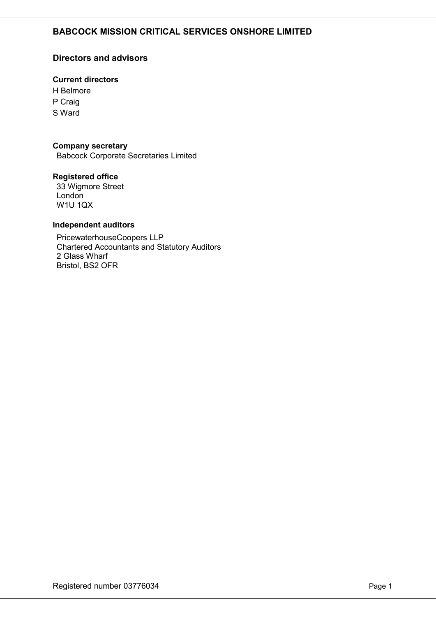## Directors and advisors

## Current directors

H Belmore P Craig S Ward

#### Company secretary

Babcock Corporate Secretaries Limited

#### Registered office

33 Wigmore Street London W1U 1QX

#### Independent auditors

PricewaterhouseCoopers LLP Chartered Accountants and Statutory Auditors 2 Glass Wharf Bristol, BS2 OFR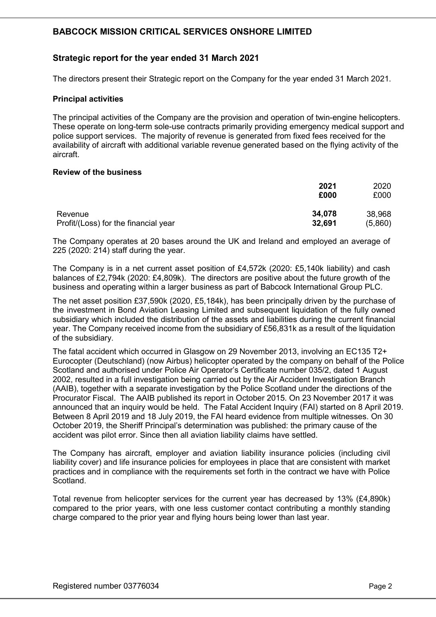## Strategic report for the year ended 31 March 2021

The directors present their Strategic report on the Company for the year ended 31 March 2021.

#### Principal activities

The principal activities of the Company are the provision and operation of twin-engine helicopters. These operate on long-term sole-use contracts primarily providing emergency medical support and police support services. The majority of revenue is generated from fixed fees received for the availability of aircraft with additional variable revenue generated based on the flying activity of the aircraft.

#### Review of the business

|                                      | 2021<br>£000 | 2020<br>£000 |
|--------------------------------------|--------------|--------------|
| Revenue                              | 34,078       | 38,968       |
| Profit/(Loss) for the financial year | 32,691       | (5,860)      |

The Company operates at 20 bases around the UK and Ireland and employed an average of 225 (2020: 214) staff during the year.

The Company is in a net current asset position of £4,572k (2020: £5,140k liability) and cash balances of £2,794k (2020: £4,809k). The directors are positive about the future growth of the business and operating within a larger business as part of Babcock International Group PLC.

The net asset position £37,590k (2020, £5,184k), has been principally driven by the purchase of the investment in Bond Aviation Leasing Limited and subsequent liquidation of the fully owned subsidiary which included the distribution of the assets and liabilities during the current financial year. The Company received income from the subsidiary of £56,831k as a result of the liquidation of the subsidiary.

The fatal accident which occurred in Glasgow on 29 November 2013, involving an EC135 T2+ Eurocopter (Deutschland) (now Airbus) helicopter operated by the company on behalf of the Police Scotland and authorised under Police Air Operator's Certificate number 035/2, dated 1 August 2002, resulted in a full investigation being carried out by the Air Accident Investigation Branch (AAIB), together with a separate investigation by the Police Scotland under the directions of the Procurator Fiscal. The AAIB published its report in October 2015. On 23 November 2017 it was announced that an inquiry would be held. The Fatal Accident Inquiry (FAI) started on 8 April 2019. Between 8 April 2019 and 18 July 2019, the FAI heard evidence from multiple witnesses. On 30 October 2019, the Sheriff Principal's determination was published: the primary cause of the accident was pilot error. Since then all aviation liability claims have settled.

The Company has aircraft, employer and aviation liability insurance policies (including civil liability cover) and life insurance policies for employees in place that are consistent with market practices and in compliance with the requirements set forth in the contract we have with Police Scotland.

Total revenue from helicopter services for the current year has decreased by 13% (£4,890k) compared to the prior years, with one less customer contact contributing a monthly standing charge compared to the prior year and flying hours being lower than last year.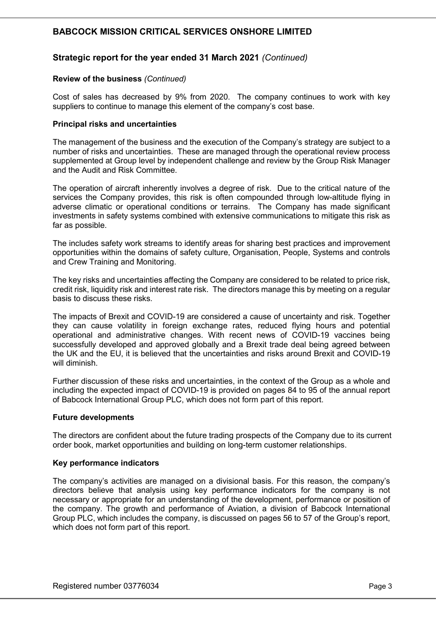## Strategic report for the year ended 31 March 2021 (Continued)

#### Review of the business (Continued)

Cost of sales has decreased by 9% from 2020. The company continues to work with key suppliers to continue to manage this element of the company's cost base.

#### Principal risks and uncertainties

The management of the business and the execution of the Company's strategy are subject to a number of risks and uncertainties. These are managed through the operational review process supplemented at Group level by independent challenge and review by the Group Risk Manager and the Audit and Risk Committee.

The operation of aircraft inherently involves a degree of risk. Due to the critical nature of the services the Company provides, this risk is often compounded through low-altitude flying in adverse climatic or operational conditions or terrains. The Company has made significant investments in safety systems combined with extensive communications to mitigate this risk as far as possible.

The includes safety work streams to identify areas for sharing best practices and improvement opportunities within the domains of safety culture, Organisation, People, Systems and controls and Crew Training and Monitoring.

The key risks and uncertainties affecting the Company are considered to be related to price risk, credit risk, liquidity risk and interest rate risk. The directors manage this by meeting on a regular basis to discuss these risks.

The impacts of Brexit and COVID-19 are considered a cause of uncertainty and risk. Together they can cause volatility in foreign exchange rates, reduced flying hours and potential operational and administrative changes. With recent news of COVID-19 vaccines being successfully developed and approved globally and a Brexit trade deal being agreed between the UK and the EU, it is believed that the uncertainties and risks around Brexit and COVID-19 will diminish.

Further discussion of these risks and uncertainties, in the context of the Group as a whole and including the expected impact of COVID-19 is provided on pages 84 to 95 of the annual report of Babcock International Group PLC, which does not form part of this report.

#### Future developments

The directors are confident about the future trading prospects of the Company due to its current order book, market opportunities and building on long-term customer relationships.

#### Key performance indicators

The company's activities are managed on a divisional basis. For this reason, the company's directors believe that analysis using key performance indicators for the company is not necessary or appropriate for an understanding of the development, performance or position of the company. The growth and performance of Aviation, a division of Babcock International Group PLC, which includes the company, is discussed on pages 56 to 57 of the Group's report, which does not form part of this report.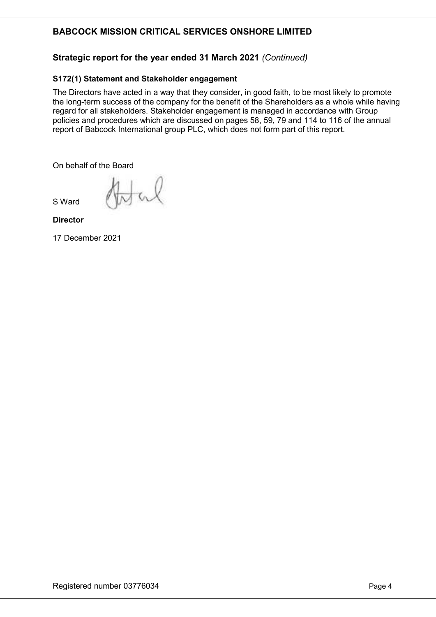## Strategic report for the year ended 31 March 2021 (Continued)

## S172(1) Statement and Stakeholder engagement

The Directors have acted in a way that they consider, in good faith, to be most likely to promote the long-term success of the company for the benefit of the Shareholders as a whole while having regard for all stakeholders. Stakeholder engagement is managed in accordance with Group policies and procedures which are discussed on pages 58, 59, 79 and 114 to 116 of the annual report of Babcock International group PLC, which does not form part of this report.

On behalf of the Board

S Ward

Nal

**Director** 

17 December 2021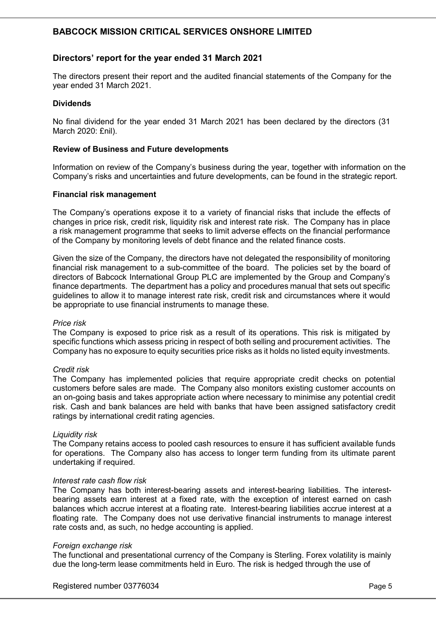## Directors' report for the year ended 31 March 2021

The directors present their report and the audited financial statements of the Company for the year ended 31 March 2021.

#### Dividends

No final dividend for the year ended 31 March 2021 has been declared by the directors (31 March 2020: £nil).

#### Review of Business and Future developments

Information on review of the Company's business during the year, together with information on the Company's risks and uncertainties and future developments, can be found in the strategic report.

#### Financial risk management

The Company's operations expose it to a variety of financial risks that include the effects of changes in price risk, credit risk, liquidity risk and interest rate risk. The Company has in place a risk management programme that seeks to limit adverse effects on the financial performance of the Company by monitoring levels of debt finance and the related finance costs.

Given the size of the Company, the directors have not delegated the responsibility of monitoring financial risk management to a sub-committee of the board. The policies set by the board of directors of Babcock International Group PLC are implemented by the Group and Company's finance departments. The department has a policy and procedures manual that sets out specific guidelines to allow it to manage interest rate risk, credit risk and circumstances where it would be appropriate to use financial instruments to manage these.

#### Price risk

The Company is exposed to price risk as a result of its operations. This risk is mitigated by specific functions which assess pricing in respect of both selling and procurement activities. The Company has no exposure to equity securities price risks as it holds no listed equity investments.

#### Credit risk

The Company has implemented policies that require appropriate credit checks on potential customers before sales are made. The Company also monitors existing customer accounts on an on-going basis and takes appropriate action where necessary to minimise any potential credit risk. Cash and bank balances are held with banks that have been assigned satisfactory credit ratings by international credit rating agencies.

#### Liquidity risk

The Company retains access to pooled cash resources to ensure it has sufficient available funds for operations. The Company also has access to longer term funding from its ultimate parent undertaking if required.

#### Interest rate cash flow risk

The Company has both interest-bearing assets and interest-bearing liabilities. The interestbearing assets earn interest at a fixed rate, with the exception of interest earned on cash balances which accrue interest at a floating rate. Interest-bearing liabilities accrue interest at a floating rate. The Company does not use derivative financial instruments to manage interest rate costs and, as such, no hedge accounting is applied.

#### Foreign exchange risk

The functional and presentational currency of the Company is Sterling. Forex volatility is mainly due the long-term lease commitments held in Euro. The risk is hedged through the use of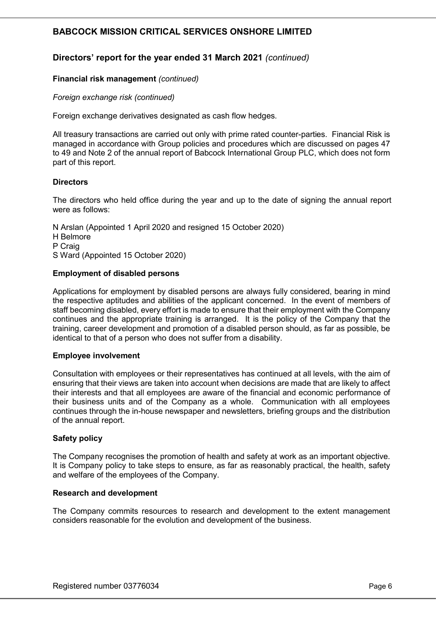## Directors' report for the year ended 31 March 2021 (continued)

#### Financial risk management (continued)

Foreign exchange risk (continued)

Foreign exchange derivatives designated as cash flow hedges.

All treasury transactions are carried out only with prime rated counter-parties. Financial Risk is managed in accordance with Group policies and procedures which are discussed on pages 47 to 49 and Note 2 of the annual report of Babcock International Group PLC, which does not form part of this report.

#### **Directors**

The directors who held office during the year and up to the date of signing the annual report were as follows:

N Arslan (Appointed 1 April 2020 and resigned 15 October 2020) H Belmore P Craig S Ward (Appointed 15 October 2020)

#### Employment of disabled persons

Applications for employment by disabled persons are always fully considered, bearing in mind the respective aptitudes and abilities of the applicant concerned. In the event of members of staff becoming disabled, every effort is made to ensure that their employment with the Company continues and the appropriate training is arranged. It is the policy of the Company that the training, career development and promotion of a disabled person should, as far as possible, be identical to that of a person who does not suffer from a disability.

#### Employee involvement

Consultation with employees or their representatives has continued at all levels, with the aim of ensuring that their views are taken into account when decisions are made that are likely to affect their interests and that all employees are aware of the financial and economic performance of their business units and of the Company as a whole. Communication with all employees continues through the in-house newspaper and newsletters, briefing groups and the distribution of the annual report.

#### Safety policy

The Company recognises the promotion of health and safety at work as an important objective. It is Company policy to take steps to ensure, as far as reasonably practical, the health, safety and welfare of the employees of the Company.

#### Research and development

The Company commits resources to research and development to the extent management considers reasonable for the evolution and development of the business.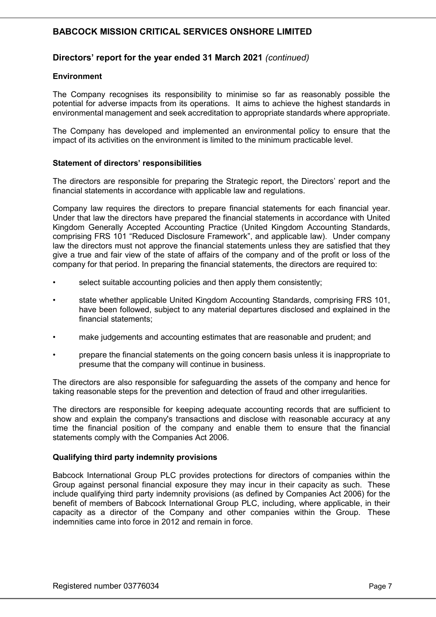## Directors' report for the year ended 31 March 2021 (continued)

#### **Environment**

The Company recognises its responsibility to minimise so far as reasonably possible the potential for adverse impacts from its operations. It aims to achieve the highest standards in environmental management and seek accreditation to appropriate standards where appropriate.

The Company has developed and implemented an environmental policy to ensure that the impact of its activities on the environment is limited to the minimum practicable level.

#### Statement of directors' responsibilities

The directors are responsible for preparing the Strategic report, the Directors' report and the financial statements in accordance with applicable law and regulations.

Company law requires the directors to prepare financial statements for each financial year. Under that law the directors have prepared the financial statements in accordance with United Kingdom Generally Accepted Accounting Practice (United Kingdom Accounting Standards, comprising FRS 101 "Reduced Disclosure Framework", and applicable law). Under company law the directors must not approve the financial statements unless they are satisfied that they give a true and fair view of the state of affairs of the company and of the profit or loss of the company for that period. In preparing the financial statements, the directors are required to:

- select suitable accounting policies and then apply them consistently;
- state whether applicable United Kingdom Accounting Standards, comprising FRS 101, have been followed, subject to any material departures disclosed and explained in the financial statements;
- make judgements and accounting estimates that are reasonable and prudent; and
- prepare the financial statements on the going concern basis unless it is inappropriate to presume that the company will continue in business.

The directors are also responsible for safeguarding the assets of the company and hence for taking reasonable steps for the prevention and detection of fraud and other irregularities.

The directors are responsible for keeping adequate accounting records that are sufficient to show and explain the company's transactions and disclose with reasonable accuracy at any time the financial position of the company and enable them to ensure that the financial statements comply with the Companies Act 2006.

#### Qualifying third party indemnity provisions

Babcock International Group PLC provides protections for directors of companies within the Group against personal financial exposure they may incur in their capacity as such. These include qualifying third party indemnity provisions (as defined by Companies Act 2006) for the benefit of members of Babcock International Group PLC, including, where applicable, in their capacity as a director of the Company and other companies within the Group. These indemnities came into force in 2012 and remain in force.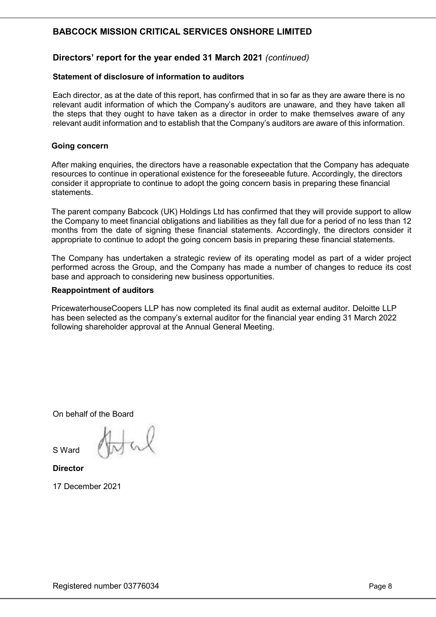## Directors' report for the year ended 31 March 2021 (continued)

#### Statement of disclosure of information to auditors

Each director, as at the date of this report, has confirmed that in so far as they are aware there is no relevant audit information of which the Company's auditors are unaware, and they have taken all the steps that they ought to have taken as a director in order to make themselves aware of any relevant audit information and to establish that the Company's auditors are aware of this information.

#### Going concern

After making enquiries, the directors have a reasonable expectation that the Company has adequate resources to continue in operational existence for the foreseeable future. Accordingly, the directors consider it appropriate to continue to adopt the going concern basis in preparing these financial statements.

The parent company Babcock (UK) Holdings Ltd has confirmed that they will provide support to allow the Company to meet financial obligations and liabilities as they fall due for a period of no less than 12 months from the date of signing these financial statements. Accordingly, the directors consider it appropriate to continue to adopt the going concern basis in preparing these financial statements.

The Company has undertaken a strategic review of its operating model as part of a wider project performed across the Group, and the Company has made a number of changes to reduce its cost base and approach to considering new business opportunities.

#### Reappointment of auditors

PricewaterhouseCoopers LLP has now completed its final audit as external auditor. Deloitte LLP has been selected as the company's external auditor for the financial year ending 31 March 2022 following shareholder approval at the Annual General Meeting.

On behalf of the Board

S Ward

**Director** 

17 December 2021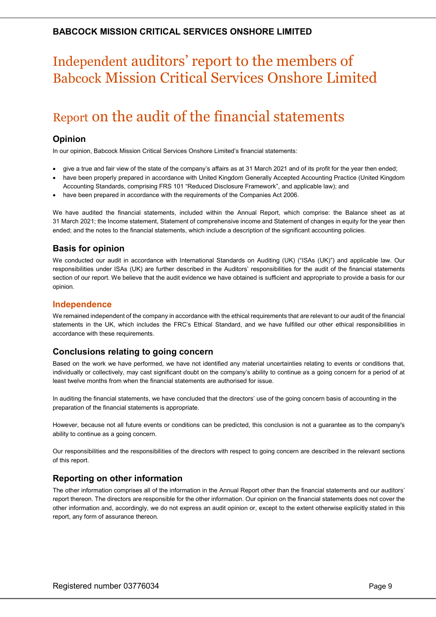# Independent auditors' report to the members of Babcock Mission Critical Services Onshore Limited

# Report on the audit of the financial statements

## Opinion

In our opinion, Babcock Mission Critical Services Onshore Limited's financial statements:

- give a true and fair view of the state of the company's affairs as at 31 March 2021 and of its profit for the year then ended;
- have been properly prepared in accordance with United Kingdom Generally Accepted Accounting Practice (United Kingdom Accounting Standards, comprising FRS 101 "Reduced Disclosure Framework", and applicable law); and
- have been prepared in accordance with the requirements of the Companies Act 2006.

We have audited the financial statements, included within the Annual Report, which comprise: the Balance sheet as at 31 March 2021; the Income statement, Statement of comprehensive income and Statement of changes in equity for the year then ended; and the notes to the financial statements, which include a description of the significant accounting policies.

## Basis for opinion

We conducted our audit in accordance with International Standards on Auditing (UK) ("ISAs (UK)") and applicable law. Our responsibilities under ISAs (UK) are further described in the Auditors' responsibilities for the audit of the financial statements section of our report. We believe that the audit evidence we have obtained is sufficient and appropriate to provide a basis for our opinion.

#### Independence

We remained independent of the company in accordance with the ethical requirements that are relevant to our audit of the financial statements in the UK, which includes the FRC's Ethical Standard, and we have fulfilled our other ethical responsibilities in accordance with these requirements.

## Conclusions relating to going concern

Based on the work we have performed, we have not identified any material uncertainties relating to events or conditions that, individually or collectively, may cast significant doubt on the company's ability to continue as a going concern for a period of at least twelve months from when the financial statements are authorised for issue.

In auditing the financial statements, we have concluded that the directors' use of the going concern basis of accounting in the preparation of the financial statements is appropriate.

However, because not all future events or conditions can be predicted, this conclusion is not a guarantee as to the company's ability to continue as a going concern.

Our responsibilities and the responsibilities of the directors with respect to going concern are described in the relevant sections of this report.

## Reporting on other information

The other information comprises all of the information in the Annual Report other than the financial statements and our auditors' report thereon. The directors are responsible for the other information. Our opinion on the financial statements does not cover the other information and, accordingly, we do not express an audit opinion or, except to the extent otherwise explicitly stated in this report, any form of assurance thereon.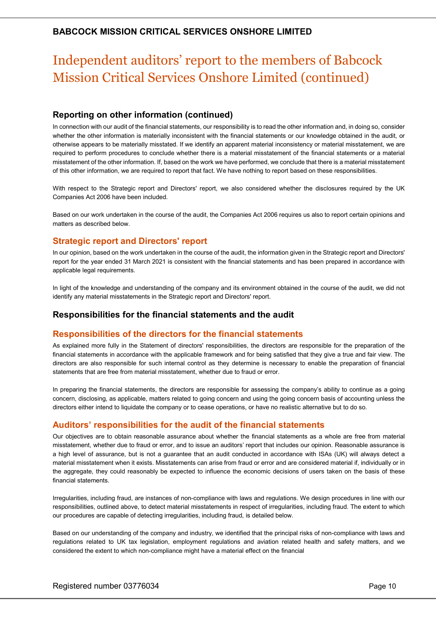## Independent auditors' report to the members of Babcock Mission Critical Services Onshore Limited (continued)

## Reporting on other information (continued)

In connection with our audit of the financial statements, our responsibility is to read the other information and, in doing so, consider whether the other information is materially inconsistent with the financial statements or our knowledge obtained in the audit, or otherwise appears to be materially misstated. If we identify an apparent material inconsistency or material misstatement, we are required to perform procedures to conclude whether there is a material misstatement of the financial statements or a material misstatement of the other information. If, based on the work we have performed, we conclude that there is a material misstatement of this other information, we are required to report that fact. We have nothing to report based on these responsibilities.

With respect to the Strategic report and Directors' report, we also considered whether the disclosures required by the UK Companies Act 2006 have been included.

Based on our work undertaken in the course of the audit, the Companies Act 2006 requires us also to report certain opinions and matters as described below.

## Strategic report and Directors' report

In our opinion, based on the work undertaken in the course of the audit, the information given in the Strategic report and Directors' report for the year ended 31 March 2021 is consistent with the financial statements and has been prepared in accordance with applicable legal requirements.

In light of the knowledge and understanding of the company and its environment obtained in the course of the audit, we did not identify any material misstatements in the Strategic report and Directors' report.

## Responsibilities for the financial statements and the audit

#### Responsibilities of the directors for the financial statements

As explained more fully in the Statement of directors' responsibilities, the directors are responsible for the preparation of the financial statements in accordance with the applicable framework and for being satisfied that they give a true and fair view. The directors are also responsible for such internal control as they determine is necessary to enable the preparation of financial statements that are free from material misstatement, whether due to fraud or error.

In preparing the financial statements, the directors are responsible for assessing the company's ability to continue as a going concern, disclosing, as applicable, matters related to going concern and using the going concern basis of accounting unless the directors either intend to liquidate the company or to cease operations, or have no realistic alternative but to do so.

#### Auditors' responsibilities for the audit of the financial statements

Our objectives are to obtain reasonable assurance about whether the financial statements as a whole are free from material misstatement, whether due to fraud or error, and to issue an auditors' report that includes our opinion. Reasonable assurance is a high level of assurance, but is not a guarantee that an audit conducted in accordance with ISAs (UK) will always detect a material misstatement when it exists. Misstatements can arise from fraud or error and are considered material if, individually or in the aggregate, they could reasonably be expected to influence the economic decisions of users taken on the basis of these financial statements.

Irregularities, including fraud, are instances of non-compliance with laws and regulations. We design procedures in line with our responsibilities, outlined above, to detect material misstatements in respect of irregularities, including fraud. The extent to which our procedures are capable of detecting irregularities, including fraud, is detailed below.

Based on our understanding of the company and industry, we identified that the principal risks of non-compliance with laws and regulations related to UK tax legislation, employment regulations and aviation related health and safety matters, and we considered the extent to which non-compliance might have a material effect on the financial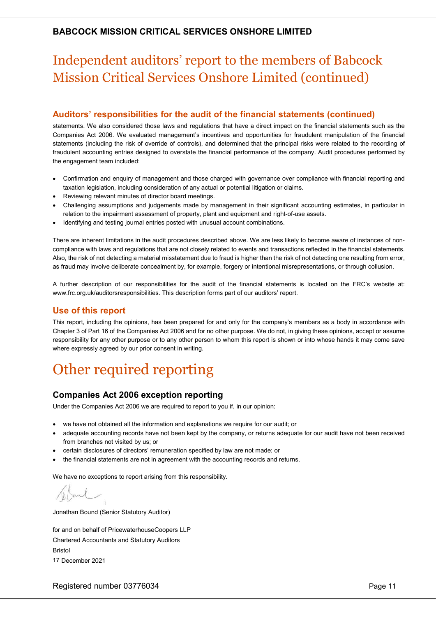# Independent auditors' report to the members of Babcock Mission Critical Services Onshore Limited (continued)

## Auditors' responsibilities for the audit of the financial statements (continued)

statements. We also considered those laws and regulations that have a direct impact on the financial statements such as the Companies Act 2006. We evaluated management's incentives and opportunities for fraudulent manipulation of the financial statements (including the risk of override of controls), and determined that the principal risks were related to the recording of fraudulent accounting entries designed to overstate the financial performance of the company. Audit procedures performed by the engagement team included:

- Confirmation and enquiry of management and those charged with governance over compliance with financial reporting and taxation legislation, including consideration of any actual or potential litigation or claims.
- Reviewing relevant minutes of director board meetings.
- Challenging assumptions and judgements made by management in their significant accounting estimates, in particular in relation to the impairment assessment of property, plant and equipment and right-of-use assets.
- Identifying and testing journal entries posted with unusual account combinations.

There are inherent limitations in the audit procedures described above. We are less likely to become aware of instances of noncompliance with laws and regulations that are not closely related to events and transactions reflected in the financial statements. Also, the risk of not detecting a material misstatement due to fraud is higher than the risk of not detecting one resulting from error, as fraud may involve deliberate concealment by, for example, forgery or intentional misrepresentations, or through collusion.

A further description of our responsibilities for the audit of the financial statements is located on the FRC's website at: www.frc.org.uk/auditorsresponsibilities. This description forms part of our auditors' report.

## Use of this report

This report, including the opinions, has been prepared for and only for the company's members as a body in accordance with Chapter 3 of Part 16 of the Companies Act 2006 and for no other purpose. We do not, in giving these opinions, accept or assume responsibility for any other purpose or to any other person to whom this report is shown or into whose hands it may come save where expressly agreed by our prior consent in writing.

# Other required reporting

## Companies Act 2006 exception reporting

Under the Companies Act 2006 we are required to report to you if, in our opinion:

- we have not obtained all the information and explanations we require for our audit; or
- adequate accounting records have not been kept by the company, or returns adequate for our audit have not been received from branches not visited by us; or
- certain disclosures of directors' remuneration specified by law are not made; or
- the financial statements are not in agreement with the accounting records and returns.

We have no exceptions to report arising from this responsibility.

Jonathan Bound (Senior Statutory Auditor)

for and on behalf of PricewaterhouseCoopers LLP Chartered Accountants and Statutory Auditors Bristol 17 December 2021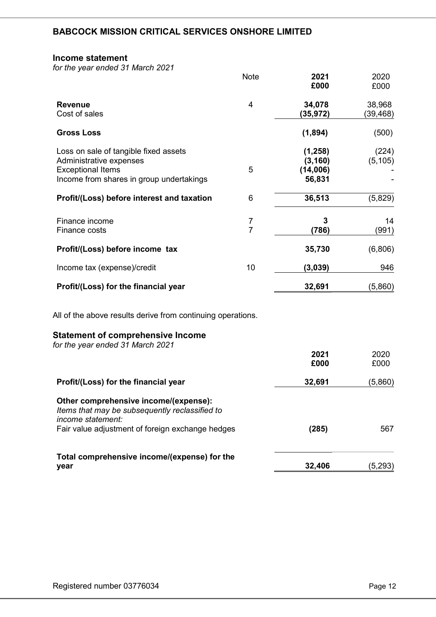#### Income statement

for the year ended 31 March 2021

|                                                                                                                                          | <b>Note</b>         | 2021<br>£000                               | 2020<br>£000        |
|------------------------------------------------------------------------------------------------------------------------------------------|---------------------|--------------------------------------------|---------------------|
| <b>Revenue</b><br>Cost of sales                                                                                                          | 4                   | 34,078<br>(35, 972)                        | 38,968<br>(39, 468) |
| <b>Gross Loss</b>                                                                                                                        |                     | (1,894)                                    | (500)               |
| Loss on sale of tangible fixed assets<br>Administrative expenses<br><b>Exceptional Items</b><br>Income from shares in group undertakings | 5                   | (1, 258)<br>(3, 160)<br>(14,006)<br>56,831 | (224)<br>(5, 105)   |
| Profit/(Loss) before interest and taxation                                                                                               | 6                   | 36,513                                     | (5,829)             |
| Finance income<br>Finance costs                                                                                                          | 7<br>$\overline{7}$ | 3<br>(786)                                 | 14<br>(991)         |
| Profit/(Loss) before income tax                                                                                                          |                     | 35,730                                     | (6,806)             |
| Income tax (expense)/credit                                                                                                              | 10                  | (3,039)                                    | 946                 |
| Profit/(Loss) for the financial year                                                                                                     |                     | 32,691                                     | (5,860)             |
| All of the above results derive from continuing operations.                                                                              |                     |                                            |                     |
| <b>Statement of comprehensive Income</b><br>for the year ended 31 March 2021                                                             |                     |                                            |                     |
|                                                                                                                                          |                     | 2021<br>£000                               | 2020<br>£000        |
| Profit/(Loss) for the financial year                                                                                                     |                     | 32,691                                     | (5,860)             |
| Other comprehensive income/(expense):<br>Items that may be subsequently reclassified to<br>income statement:                             |                     |                                            |                     |
| Fair value adjustment of foreign exchange hedges                                                                                         |                     | (285)                                      | 567                 |

Total comprehensive income/(expense) for the **year**  $32,406$   $(5,293)$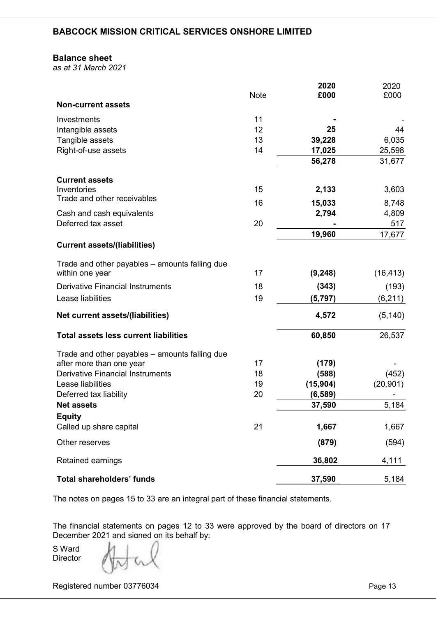#### Balance sheet

as at 31 March 2021

|                                                | <b>Note</b> | 2020<br>£000 | 2020<br>£000 |
|------------------------------------------------|-------------|--------------|--------------|
| <b>Non-current assets</b>                      |             |              |              |
| Investments                                    | 11          |              |              |
| Intangible assets                              | 12          | 25           | 44           |
| Tangible assets                                | 13          | 39,228       | 6,035        |
| Right-of-use assets                            | 14          | 17,025       | 25,598       |
|                                                |             | 56,278       | 31,677       |
| <b>Current assets</b>                          |             |              |              |
| Inventories                                    | 15          | 2,133        | 3,603        |
| Trade and other receivables                    | 16          | 15,033       | 8,748        |
| Cash and cash equivalents                      |             | 2,794        | 4,809        |
| Deferred tax asset                             | 20          |              | 517          |
|                                                |             | 19,960       | 17,677       |
| <b>Current assets/(liabilities)</b>            |             |              |              |
| Trade and other payables - amounts falling due |             |              |              |
| within one year                                | 17          | (9, 248)     | (16, 413)    |
| <b>Derivative Financial Instruments</b>        | 18          | (343)        | (193)        |
| Lease liabilities                              | 19          | (5, 797)     | (6, 211)     |
| Net current assets/(liabilities)               |             | 4,572        | (5, 140)     |
| <b>Total assets less current liabilities</b>   |             | 60,850       | 26,537       |
| Trade and other payables – amounts falling due |             |              |              |
| after more than one year                       | 17          | (179)        |              |
| <b>Derivative Financial Instruments</b>        | 18          | (588)        | (452)        |
| Lease liabilities                              | 19          | (15, 904)    | (20, 901)    |
| Deferred tax liability                         | 20          | (6, 589)     |              |
| <b>Net assets</b>                              |             | 37,590       | 5,184        |
| <b>Equity</b><br>Called up share capital       | 21          | 1,667        | 1,667        |
| Other reserves                                 |             | (879)        | (594)        |
| Retained earnings                              |             | 36,802       | 4,111        |
| <b>Total shareholders' funds</b>               |             | 37,590       | 5,184        |

The notes on pages 15 to 33 are an integral part of these financial statements.

The financial statements on pages 12 to 33 were approved by the board of directors on 17 December 2021 and signed on its behalf by:

S Ward **Director** 

Registered number 03776034 Page 13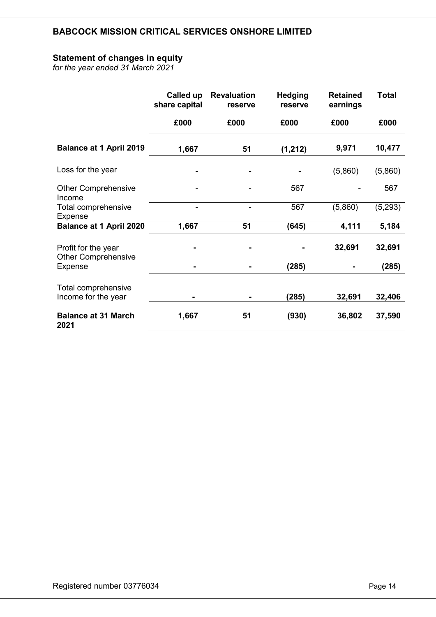## Statement of changes in equity

for the year ended 31 March 2021

|                                                   | Called up<br>share capital | <b>Revaluation</b><br>reserve | <b>Hedging</b><br>reserve | <b>Retained</b><br>earnings | <b>Total</b> |
|---------------------------------------------------|----------------------------|-------------------------------|---------------------------|-----------------------------|--------------|
|                                                   | £000                       | £000                          | £000                      | £000                        | £000         |
| <b>Balance at 1 April 2019</b>                    | 1,667                      | 51                            | (1, 212)                  | 9,971                       | 10,477       |
| Loss for the year                                 |                            |                               |                           | (5,860)                     | (5,860)      |
| <b>Other Comprehensive</b><br>Income              |                            |                               | 567                       |                             | 567          |
| Total comprehensive<br><b>Expense</b>             |                            |                               | 567                       | (5,860)                     | (5,293)      |
| <b>Balance at 1 April 2020</b>                    | 1,667                      | 51                            | (645)                     | 4,111                       | 5,184        |
| Profit for the year<br><b>Other Comprehensive</b> |                            |                               |                           | 32,691                      | 32,691       |
| Expense                                           |                            |                               | (285)                     |                             | (285)        |
| Total comprehensive                               |                            |                               |                           |                             |              |
| Income for the year                               |                            |                               | (285)                     | 32,691                      | 32,406       |
| <b>Balance at 31 March</b><br>2021                | 1,667                      | 51                            | (930)                     | 36,802                      | 37,590       |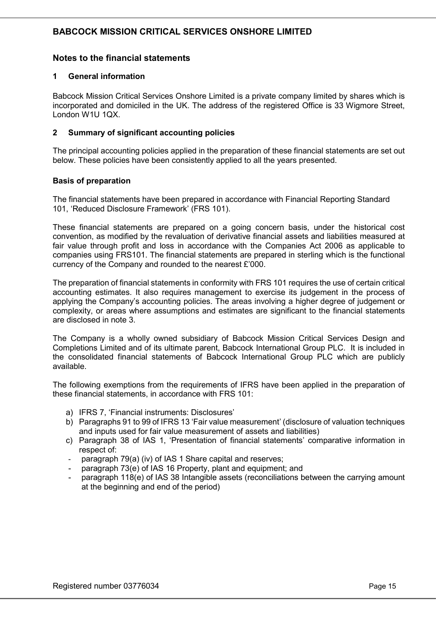## Notes to the financial statements

#### 1 General information

Babcock Mission Critical Services Onshore Limited is a private company limited by shares which is incorporated and domiciled in the UK. The address of the registered Office is 33 Wigmore Street, London W1U 1QX.

#### 2 Summary of significant accounting policies

The principal accounting policies applied in the preparation of these financial statements are set out below. These policies have been consistently applied to all the years presented.

#### Basis of preparation

The financial statements have been prepared in accordance with Financial Reporting Standard 101, 'Reduced Disclosure Framework' (FRS 101).

These financial statements are prepared on a going concern basis, under the historical cost convention, as modified by the revaluation of derivative financial assets and liabilities measured at fair value through profit and loss in accordance with the Companies Act 2006 as applicable to companies using FRS101. The financial statements are prepared in sterling which is the functional currency of the Company and rounded to the nearest £'000.

The preparation of financial statements in conformity with FRS 101 requires the use of certain critical accounting estimates. It also requires management to exercise its judgement in the process of applying the Company's accounting policies. The areas involving a higher degree of judgement or complexity, or areas where assumptions and estimates are significant to the financial statements are disclosed in note 3.

The Company is a wholly owned subsidiary of Babcock Mission Critical Services Design and Completions Limited and of its ultimate parent, Babcock International Group PLC. It is included in the consolidated financial statements of Babcock International Group PLC which are publicly available.

The following exemptions from the requirements of IFRS have been applied in the preparation of these financial statements, in accordance with FRS 101:

- a) IFRS 7, 'Financial instruments: Disclosures'
- b) Paragraphs 91 to 99 of IFRS 13 'Fair value measurement' (disclosure of valuation techniques and inputs used for fair value measurement of assets and liabilities)
- c) Paragraph 38 of IAS 1, 'Presentation of financial statements' comparative information in respect of:
- paragraph 79(a) (iv) of IAS 1 Share capital and reserves;
- paragraph 73(e) of IAS 16 Property, plant and equipment; and
- paragraph 118(e) of IAS 38 Intangible assets (reconciliations between the carrying amount at the beginning and end of the period)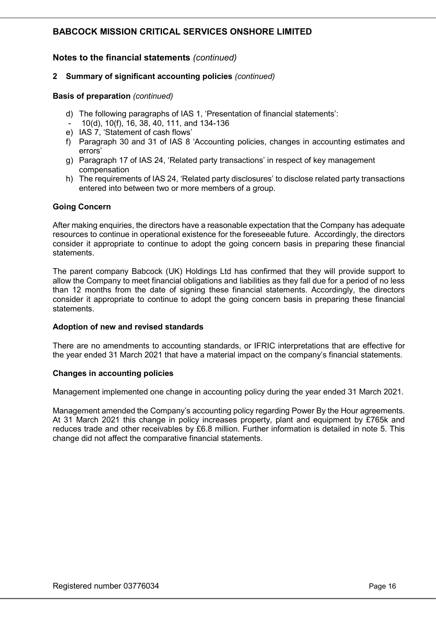## Notes to the financial statements (continued)

#### 2 Summary of significant accounting policies (continued)

#### Basis of preparation (continued)

- d) The following paragraphs of IAS 1, 'Presentation of financial statements':
- 10(d), 10(f), 16, 38, 40, 111, and 134-136
- e) IAS 7, 'Statement of cash flows'
- f) Paragraph 30 and 31 of IAS 8 'Accounting policies, changes in accounting estimates and errors'
- g) Paragraph 17 of IAS 24, 'Related party transactions' in respect of key management compensation
- h) The requirements of IAS 24, 'Related party disclosures' to disclose related party transactions entered into between two or more members of a group.

#### Going Concern

After making enquiries, the directors have a reasonable expectation that the Company has adequate resources to continue in operational existence for the foreseeable future. Accordingly, the directors consider it appropriate to continue to adopt the going concern basis in preparing these financial statements.

The parent company Babcock (UK) Holdings Ltd has confirmed that they will provide support to allow the Company to meet financial obligations and liabilities as they fall due for a period of no less than 12 months from the date of signing these financial statements. Accordingly, the directors consider it appropriate to continue to adopt the going concern basis in preparing these financial statements.

#### Adoption of new and revised standards

There are no amendments to accounting standards, or IFRIC interpretations that are effective for the year ended 31 March 2021 that have a material impact on the company's financial statements.

#### Changes in accounting policies

Management implemented one change in accounting policy during the year ended 31 March 2021.

Management amended the Company's accounting policy regarding Power By the Hour agreements. At 31 March 2021 this change in policy increases property, plant and equipment by £765k and reduces trade and other receivables by £6.8 million. Further information is detailed in note 5. This change did not affect the comparative financial statements.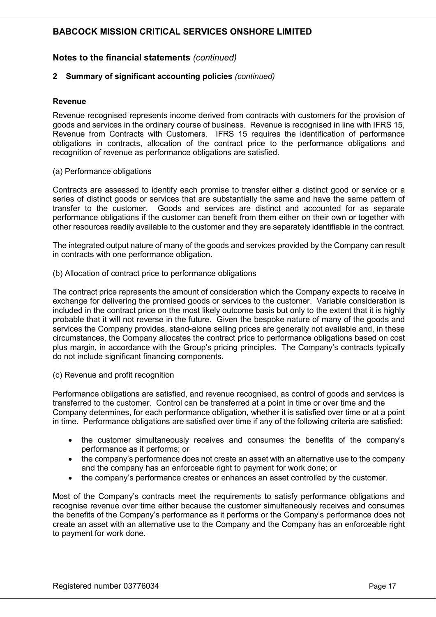## Notes to the financial statements (continued)

#### 2 Summary of significant accounting policies (continued)

#### **Revenue**

Revenue recognised represents income derived from contracts with customers for the provision of goods and services in the ordinary course of business. Revenue is recognised in line with IFRS 15, Revenue from Contracts with Customers. IFRS 15 requires the identification of performance obligations in contracts, allocation of the contract price to the performance obligations and recognition of revenue as performance obligations are satisfied.

(a) Performance obligations

Contracts are assessed to identify each promise to transfer either a distinct good or service or a series of distinct goods or services that are substantially the same and have the same pattern of transfer to the customer. Goods and services are distinct and accounted for as separate performance obligations if the customer can benefit from them either on their own or together with other resources readily available to the customer and they are separately identifiable in the contract.

The integrated output nature of many of the goods and services provided by the Company can result in contracts with one performance obligation.

(b) Allocation of contract price to performance obligations

The contract price represents the amount of consideration which the Company expects to receive in exchange for delivering the promised goods or services to the customer. Variable consideration is included in the contract price on the most likely outcome basis but only to the extent that it is highly probable that it will not reverse in the future. Given the bespoke nature of many of the goods and services the Company provides, stand-alone selling prices are generally not available and, in these circumstances, the Company allocates the contract price to performance obligations based on cost plus margin, in accordance with the Group's pricing principles. The Company's contracts typically do not include significant financing components.

(c) Revenue and profit recognition

Performance obligations are satisfied, and revenue recognised, as control of goods and services is transferred to the customer. Control can be transferred at a point in time or over time and the Company determines, for each performance obligation, whether it is satisfied over time or at a point in time. Performance obligations are satisfied over time if any of the following criteria are satisfied:

- the customer simultaneously receives and consumes the benefits of the company's performance as it performs; or
- the company's performance does not create an asset with an alternative use to the company and the company has an enforceable right to payment for work done; or
- the company's performance creates or enhances an asset controlled by the customer.

Most of the Company's contracts meet the requirements to satisfy performance obligations and recognise revenue over time either because the customer simultaneously receives and consumes the benefits of the Company's performance as it performs or the Company's performance does not create an asset with an alternative use to the Company and the Company has an enforceable right to payment for work done.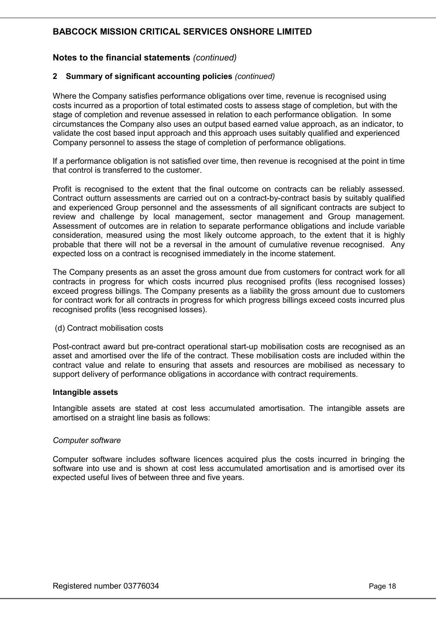## Notes to the financial statements (continued)

#### 2 Summary of significant accounting policies (continued)

Where the Company satisfies performance obligations over time, revenue is recognised using costs incurred as a proportion of total estimated costs to assess stage of completion, but with the stage of completion and revenue assessed in relation to each performance obligation. In some circumstances the Company also uses an output based earned value approach, as an indicator, to validate the cost based input approach and this approach uses suitably qualified and experienced Company personnel to assess the stage of completion of performance obligations.

If a performance obligation is not satisfied over time, then revenue is recognised at the point in time that control is transferred to the customer.

Profit is recognised to the extent that the final outcome on contracts can be reliably assessed. Contract outturn assessments are carried out on a contract-by-contract basis by suitably qualified and experienced Group personnel and the assessments of all significant contracts are subject to review and challenge by local management, sector management and Group management. Assessment of outcomes are in relation to separate performance obligations and include variable consideration, measured using the most likely outcome approach, to the extent that it is highly probable that there will not be a reversal in the amount of cumulative revenue recognised. Any expected loss on a contract is recognised immediately in the income statement.

The Company presents as an asset the gross amount due from customers for contract work for all contracts in progress for which costs incurred plus recognised profits (less recognised losses) exceed progress billings. The Company presents as a liability the gross amount due to customers for contract work for all contracts in progress for which progress billings exceed costs incurred plus recognised profits (less recognised losses).

#### (d) Contract mobilisation costs

Post-contract award but pre-contract operational start-up mobilisation costs are recognised as an asset and amortised over the life of the contract. These mobilisation costs are included within the contract value and relate to ensuring that assets and resources are mobilised as necessary to support delivery of performance obligations in accordance with contract requirements.

#### Intangible assets

Intangible assets are stated at cost less accumulated amortisation. The intangible assets are amortised on a straight line basis as follows:

#### Computer software

Computer software includes software licences acquired plus the costs incurred in bringing the software into use and is shown at cost less accumulated amortisation and is amortised over its expected useful lives of between three and five years.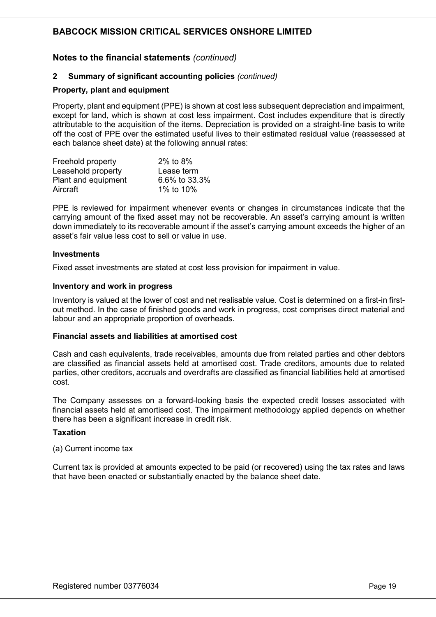## Notes to the financial statements (continued)

#### 2 Summary of significant accounting policies (continued)

#### Property, plant and equipment

Property, plant and equipment (PPE) is shown at cost less subsequent depreciation and impairment, except for land, which is shown at cost less impairment. Cost includes expenditure that is directly attributable to the acquisition of the items. Depreciation is provided on a straight-line basis to write off the cost of PPE over the estimated useful lives to their estimated residual value (reassessed at each balance sheet date) at the following annual rates:

| Freehold property   | 2% to 8%      |
|---------------------|---------------|
| Leasehold property  | Lease term    |
| Plant and equipment | 6.6% to 33.3% |
| Aircraft            | 1% to 10%     |

PPE is reviewed for impairment whenever events or changes in circumstances indicate that the carrying amount of the fixed asset may not be recoverable. An asset's carrying amount is written down immediately to its recoverable amount if the asset's carrying amount exceeds the higher of an asset's fair value less cost to sell or value in use.

#### **Investments**

Fixed asset investments are stated at cost less provision for impairment in value.

#### Inventory and work in progress

Inventory is valued at the lower of cost and net realisable value. Cost is determined on a first-in firstout method. In the case of finished goods and work in progress, cost comprises direct material and labour and an appropriate proportion of overheads.

#### Financial assets and liabilities at amortised cost

Cash and cash equivalents, trade receivables, amounts due from related parties and other debtors are classified as financial assets held at amortised cost. Trade creditors, amounts due to related parties, other creditors, accruals and overdrafts are classified as financial liabilities held at amortised cost.

The Company assesses on a forward-looking basis the expected credit losses associated with financial assets held at amortised cost. The impairment methodology applied depends on whether there has been a significant increase in credit risk.

#### **Taxation**

#### (a) Current income tax

Current tax is provided at amounts expected to be paid (or recovered) using the tax rates and laws that have been enacted or substantially enacted by the balance sheet date.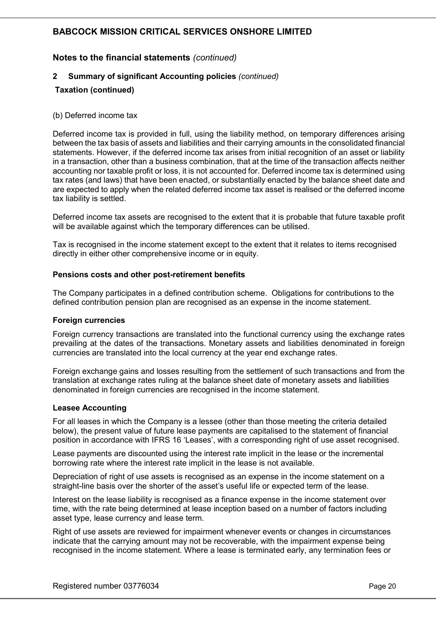## Notes to the financial statements (continued)

#### 2 Summary of significant Accounting policies (continued)

#### Taxation (continued)

#### (b) Deferred income tax

Deferred income tax is provided in full, using the liability method, on temporary differences arising between the tax basis of assets and liabilities and their carrying amounts in the consolidated financial statements. However, if the deferred income tax arises from initial recognition of an asset or liability in a transaction, other than a business combination, that at the time of the transaction affects neither accounting nor taxable profit or loss, it is not accounted for. Deferred income tax is determined using tax rates (and laws) that have been enacted, or substantially enacted by the balance sheet date and are expected to apply when the related deferred income tax asset is realised or the deferred income tax liability is settled.

Deferred income tax assets are recognised to the extent that it is probable that future taxable profit will be available against which the temporary differences can be utilised.

Tax is recognised in the income statement except to the extent that it relates to items recognised directly in either other comprehensive income or in equity.

#### Pensions costs and other post-retirement benefits

The Company participates in a defined contribution scheme. Obligations for contributions to the defined contribution pension plan are recognised as an expense in the income statement.

#### Foreign currencies

Foreign currency transactions are translated into the functional currency using the exchange rates prevailing at the dates of the transactions. Monetary assets and liabilities denominated in foreign currencies are translated into the local currency at the year end exchange rates.

Foreign exchange gains and losses resulting from the settlement of such transactions and from the translation at exchange rates ruling at the balance sheet date of monetary assets and liabilities denominated in foreign currencies are recognised in the income statement.

#### Leasee Accounting

For all leases in which the Company is a lessee (other than those meeting the criteria detailed below), the present value of future lease payments are capitalised to the statement of financial position in accordance with IFRS 16 'Leases', with a corresponding right of use asset recognised.

Lease payments are discounted using the interest rate implicit in the lease or the incremental borrowing rate where the interest rate implicit in the lease is not available.

Depreciation of right of use assets is recognised as an expense in the income statement on a straight-line basis over the shorter of the asset's useful life or expected term of the lease.

Interest on the lease liability is recognised as a finance expense in the income statement over time, with the rate being determined at lease inception based on a number of factors including asset type, lease currency and lease term.

Right of use assets are reviewed for impairment whenever events or changes in circumstances indicate that the carrying amount may not be recoverable, with the impairment expense being recognised in the income statement. Where a lease is terminated early, any termination fees or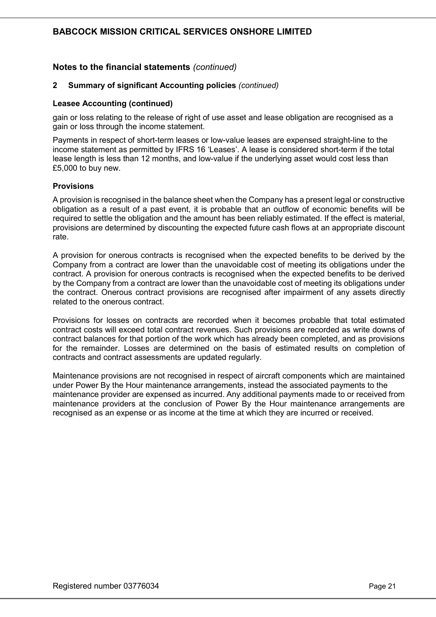## Notes to the financial statements (continued)

#### 2 Summary of significant Accounting policies (continued)

#### Leasee Accounting (continued)

gain or loss relating to the release of right of use asset and lease obligation are recognised as a gain or loss through the income statement.

Payments in respect of short-term leases or low-value leases are expensed straight-line to the income statement as permitted by IFRS 16 'Leases'. A lease is considered short-term if the total lease length is less than 12 months, and low-value if the underlying asset would cost less than £5,000 to buy new.

#### **Provisions**

A provision is recognised in the balance sheet when the Company has a present legal or constructive obligation as a result of a past event, it is probable that an outflow of economic benefits will be required to settle the obligation and the amount has been reliably estimated. If the effect is material, provisions are determined by discounting the expected future cash flows at an appropriate discount rate.

A provision for onerous contracts is recognised when the expected benefits to be derived by the Company from a contract are lower than the unavoidable cost of meeting its obligations under the contract. A provision for onerous contracts is recognised when the expected benefits to be derived by the Company from a contract are lower than the unavoidable cost of meeting its obligations under the contract. Onerous contract provisions are recognised after impairment of any assets directly related to the onerous contract.

Provisions for losses on contracts are recorded when it becomes probable that total estimated contract costs will exceed total contract revenues. Such provisions are recorded as write downs of contract balances for that portion of the work which has already been completed, and as provisions for the remainder. Losses are determined on the basis of estimated results on completion of contracts and contract assessments are updated regularly.

Maintenance provisions are not recognised in respect of aircraft components which are maintained under Power By the Hour maintenance arrangements, instead the associated payments to the maintenance provider are expensed as incurred. Any additional payments made to or received from maintenance providers at the conclusion of Power By the Hour maintenance arrangements are recognised as an expense or as income at the time at which they are incurred or received.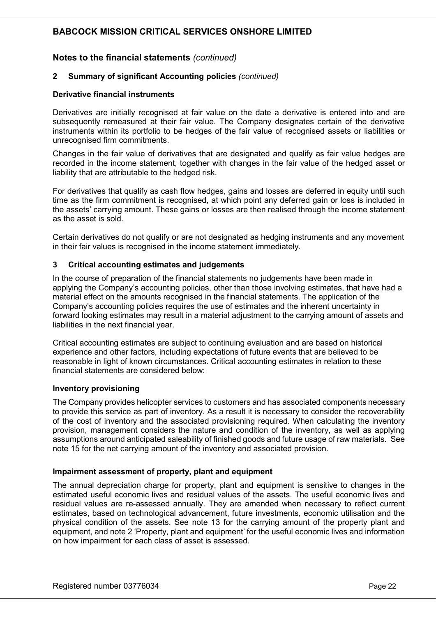## Notes to the financial statements (continued)

#### 2 Summary of significant Accounting policies (continued)

#### Derivative financial instruments

Derivatives are initially recognised at fair value on the date a derivative is entered into and are subsequently remeasured at their fair value. The Company designates certain of the derivative instruments within its portfolio to be hedges of the fair value of recognised assets or liabilities or unrecognised firm commitments.

Changes in the fair value of derivatives that are designated and qualify as fair value hedges are recorded in the income statement, together with changes in the fair value of the hedged asset or liability that are attributable to the hedged risk.

For derivatives that qualify as cash flow hedges, gains and losses are deferred in equity until such time as the firm commitment is recognised, at which point any deferred gain or loss is included in the assets' carrying amount. These gains or losses are then realised through the income statement as the asset is sold.

Certain derivatives do not qualify or are not designated as hedging instruments and any movement in their fair values is recognised in the income statement immediately.

#### 3 Critical accounting estimates and judgements

In the course of preparation of the financial statements no judgements have been made in applying the Company's accounting policies, other than those involving estimates, that have had a material effect on the amounts recognised in the financial statements. The application of the Company's accounting policies requires the use of estimates and the inherent uncertainty in forward looking estimates may result in a material adjustment to the carrying amount of assets and liabilities in the next financial year.

Critical accounting estimates are subject to continuing evaluation and are based on historical experience and other factors, including expectations of future events that are believed to be reasonable in light of known circumstances. Critical accounting estimates in relation to these financial statements are considered below:

#### Inventory provisioning

The Company provides helicopter services to customers and has associated components necessary to provide this service as part of inventory. As a result it is necessary to consider the recoverability of the cost of inventory and the associated provisioning required. When calculating the inventory provision, management considers the nature and condition of the inventory, as well as applying assumptions around anticipated saleability of finished goods and future usage of raw materials. See note 15 for the net carrying amount of the inventory and associated provision.

#### Impairment assessment of property, plant and equipment

The annual depreciation charge for property, plant and equipment is sensitive to changes in the estimated useful economic lives and residual values of the assets. The useful economic lives and residual values are re-assessed annually. They are amended when necessary to reflect current estimates, based on technological advancement, future investments, economic utilisation and the physical condition of the assets. See note 13 for the carrying amount of the property plant and equipment, and note 2 'Property, plant and equipment' for the useful economic lives and information on how impairment for each class of asset is assessed.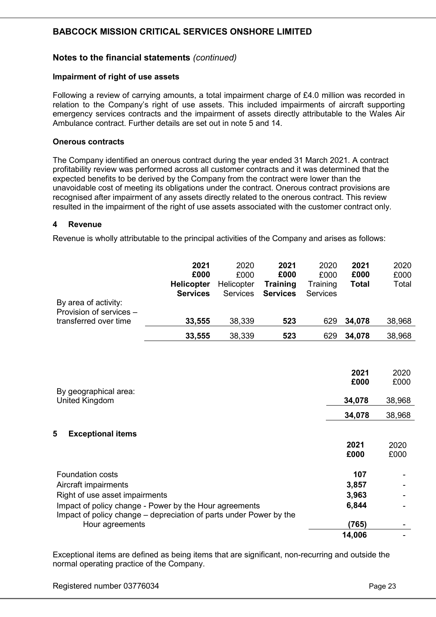## Notes to the financial statements (continued)

#### Impairment of right of use assets

Following a review of carrying amounts, a total impairment charge of £4.0 million was recorded in relation to the Company's right of use assets. This included impairments of aircraft supporting emergency services contracts and the impairment of assets directly attributable to the Wales Air Ambulance contract. Further details are set out in note 5 and 14.

#### Onerous contracts

The Company identified an onerous contract during the year ended 31 March 2021. A contract profitability review was performed across all customer contracts and it was determined that the expected benefits to be derived by the Company from the contract were lower than the unavoidable cost of meeting its obligations under the contract. Onerous contract provisions are recognised after impairment of any assets directly related to the onerous contract. This review resulted in the impairment of the right of use assets associated with the customer contract only.

#### 4 Revenue

Revenue is wholly attributable to the principal activities of the Company and arises as follows:

| By area of activity:<br>Provision of services -                                   | 2021<br>£000<br><b>Helicopter</b><br><b>Services</b> | 2020<br>£000<br>Helicopter<br><b>Services</b> | 2021<br>£000<br><b>Training</b><br><b>Services</b> | 2020<br>£000<br>Training<br><b>Services</b> | 2021<br>£000<br><b>Total</b> | 2020<br>£000<br>Total |
|-----------------------------------------------------------------------------------|------------------------------------------------------|-----------------------------------------------|----------------------------------------------------|---------------------------------------------|------------------------------|-----------------------|
| transferred over time                                                             | 33,555                                               | 38,339                                        | 523                                                | 629                                         | 34,078                       | 38,968                |
|                                                                                   | 33,555                                               | 38,339                                        | 523                                                | 629                                         | 34,078                       | 38,968                |
|                                                                                   |                                                      |                                               |                                                    |                                             | 2021                         | 2020                  |
| By geographical area:<br>United Kingdom                                           |                                                      |                                               |                                                    |                                             | £000<br>34,078               | £000<br>38,968        |
|                                                                                   |                                                      |                                               |                                                    |                                             | 34,078                       | 38,968                |
| 5<br><b>Exceptional items</b>                                                     |                                                      |                                               |                                                    |                                             | 2021<br>£000                 | 2020<br>£000          |
| <b>Foundation costs</b><br>Aircraft impairments<br>Right of use asset impairments |                                                      |                                               |                                                    |                                             | 107<br>3,857<br>3,963        |                       |

| Impact of policy change - Power by the Hour agreements             | 6.844  | $\sim$ $\sim$ |
|--------------------------------------------------------------------|--------|---------------|
| Impact of policy change – depreciation of parts under Power by the |        |               |
| Hour agreements                                                    | (765)  | $\sim$        |
|                                                                    | 14.006 | . .           |
|                                                                    |        |               |

Exceptional items are defined as being items that are significant, non-recurring and outside the normal operating practice of the Company.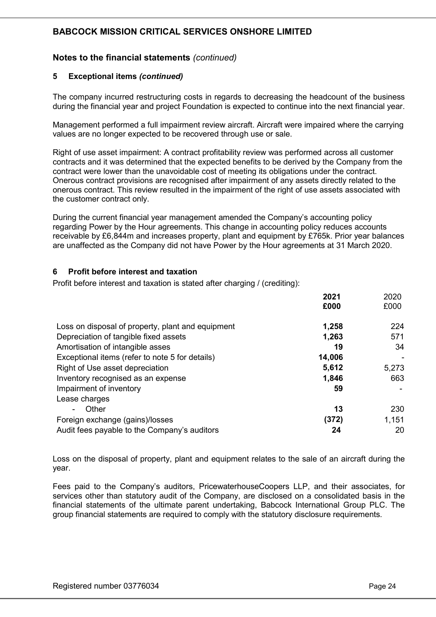## Notes to the financial statements (continued)

#### 5 Exceptional items (continued)

The company incurred restructuring costs in regards to decreasing the headcount of the business during the financial year and project Foundation is expected to continue into the next financial year.

Management performed a full impairment review aircraft. Aircraft were impaired where the carrying values are no longer expected to be recovered through use or sale.

Right of use asset impairment: A contract profitability review was performed across all customer contracts and it was determined that the expected benefits to be derived by the Company from the contract were lower than the unavoidable cost of meeting its obligations under the contract. Onerous contract provisions are recognised after impairment of any assets directly related to the onerous contract. This review resulted in the impairment of the right of use assets associated with the customer contract only.

During the current financial year management amended the Company's accounting policy regarding Power by the Hour agreements. This change in accounting policy reduces accounts receivable by £6,844m and increases property, plant and equipment by £765k. Prior year balances are unaffected as the Company did not have Power by the Hour agreements at 31 March 2020.

#### 6 Profit before interest and taxation

Profit before interest and taxation is stated after charging / (crediting):

|                                                   | 2021   | 2020  |
|---------------------------------------------------|--------|-------|
|                                                   | £000   | £000  |
| Loss on disposal of property, plant and equipment | 1,258  | 224   |
| Depreciation of tangible fixed assets             | 1,263  | 571   |
| Amortisation of intangible asses                  | 19     | 34    |
| Exceptional items (refer to note 5 for details)   | 14,006 |       |
| Right of Use asset depreciation                   | 5,612  | 5,273 |
| Inventory recognised as an expense                | 1,846  | 663   |
| Impairment of inventory                           | 59     |       |
| Lease charges                                     |        |       |
| Other                                             | 13     | 230   |
| Foreign exchange (gains)/losses                   | (372)  | 1,151 |
| Audit fees payable to the Company's auditors      | 24     | 20    |

Loss on the disposal of property, plant and equipment relates to the sale of an aircraft during the year.

Fees paid to the Company's auditors, PricewaterhouseCoopers LLP, and their associates, for services other than statutory audit of the Company, are disclosed on a consolidated basis in the financial statements of the ultimate parent undertaking, Babcock International Group PLC. The group financial statements are required to comply with the statutory disclosure requirements.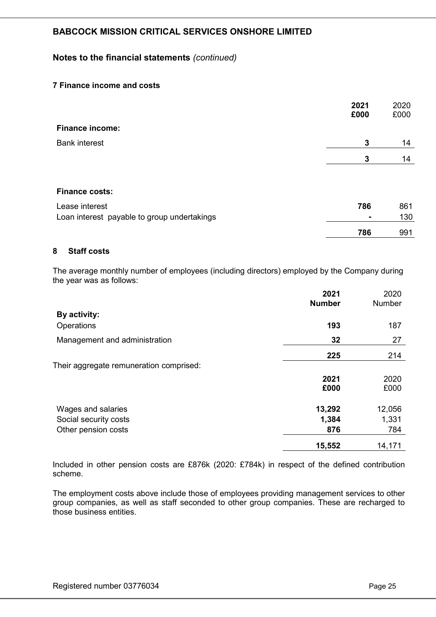## Notes to the financial statements (continued)

## 7 Finance income and costs

|                                             | 2021<br>£000 | 2020<br>£000 |
|---------------------------------------------|--------------|--------------|
| <b>Finance income:</b>                      |              |              |
| <b>Bank interest</b>                        | $\mathbf{3}$ | 14           |
|                                             | 3            | 14           |
|                                             |              |              |
| <b>Finance costs:</b>                       |              |              |
| Lease interest                              | 786          | 861          |
| Loan interest payable to group undertakings |              | 130          |
|                                             | 786          | 991          |

#### 8 Staff costs

The average monthly number of employees (including directors) employed by the Company during the year was as follows:

|                                         | 2021<br><b>Number</b> | 2020<br><b>Number</b> |
|-----------------------------------------|-----------------------|-----------------------|
| By activity:                            |                       |                       |
| Operations                              | 193                   | 187                   |
| Management and administration           | 32                    | 27                    |
|                                         | 225                   | 214                   |
| Their aggregate remuneration comprised: |                       |                       |
|                                         | 2021                  | 2020                  |
|                                         | £000                  | £000                  |
| Wages and salaries                      | 13,292                | 12,056                |
| Social security costs                   | 1,384                 | 1,331                 |
| Other pension costs                     | 876                   | 784                   |
|                                         | 15,552                | 14,171                |

Included in other pension costs are £876k (2020: £784k) in respect of the defined contribution scheme.

The employment costs above include those of employees providing management services to other group companies, as well as staff seconded to other group companies. These are recharged to those business entities.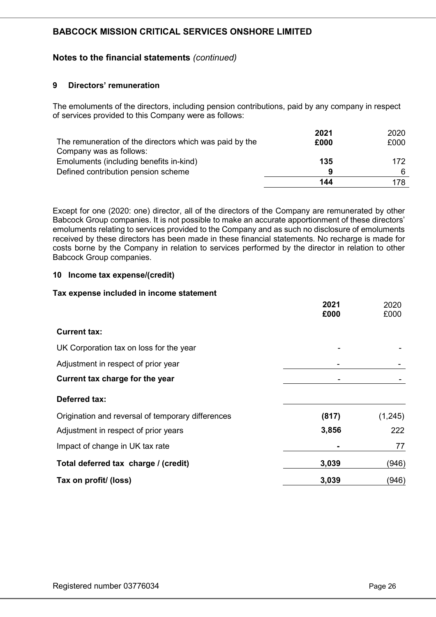## Notes to the financial statements (continued)

#### 9 Directors' remuneration

The emoluments of the directors, including pension contributions, paid by any company in respect of services provided to this Company were as follows:

|                                                         | 2021 | 2020 |
|---------------------------------------------------------|------|------|
| The remuneration of the directors which was paid by the | £000 | £000 |
| Company was as follows:                                 |      |      |
| Emoluments (including benefits in-kind)                 | 135  | 172  |
| Defined contribution pension scheme                     | 9    |      |
|                                                         | 144  | 178  |

Except for one (2020: one) director, all of the directors of the Company are remunerated by other Babcock Group companies. It is not possible to make an accurate apportionment of these directors' emoluments relating to services provided to the Company and as such no disclosure of emoluments received by these directors has been made in these financial statements. No recharge is made for costs borne by the Company in relation to services performed by the director in relation to other Babcock Group companies.

#### 10 Income tax expense/(credit)

#### Tax expense included in income statement

|                                                   | 2021<br>£000 | 2020<br>£000 |
|---------------------------------------------------|--------------|--------------|
| <b>Current tax:</b>                               |              |              |
| UK Corporation tax on loss for the year           |              |              |
| Adjustment in respect of prior year               |              |              |
| Current tax charge for the year                   |              |              |
| Deferred tax:                                     |              |              |
| Origination and reversal of temporary differences | (817)        | (1,245)      |
| Adjustment in respect of prior years              | 3,856        | 222          |
| Impact of change in UK tax rate                   |              | 77           |
| Total deferred tax charge / (credit)              | 3,039        | (946)        |
| Tax on profit/ (loss)                             | 3,039        | (946)        |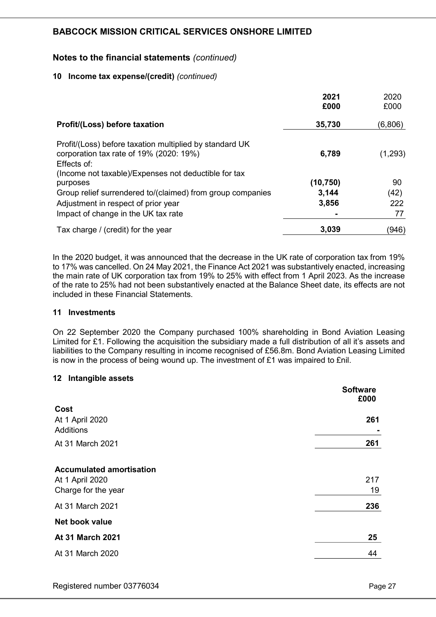## Notes to the financial statements (continued)

#### 10 Income tax expense/(credit) (continued)

|                                                                                                                                                                           | 2021<br>£000 | 2020<br>£000 |
|---------------------------------------------------------------------------------------------------------------------------------------------------------------------------|--------------|--------------|
| Profit/(Loss) before taxation                                                                                                                                             | 35,730       | (6,806)      |
| Profit/(Loss) before taxation multiplied by standard UK<br>corporation tax rate of 19% (2020: 19%)<br>Effects of:<br>(Income not taxable)/Expenses not deductible for tax | 6,789        | (1,293)      |
| purposes                                                                                                                                                                  | (10, 750)    | 90           |
| Group relief surrendered to/(claimed) from group companies                                                                                                                | 3,144        | (42)         |
| Adjustment in respect of prior year                                                                                                                                       | 3,856        | 222          |
| Impact of change in the UK tax rate                                                                                                                                       |              | 77           |
| Tax charge / (credit) for the year                                                                                                                                        | 3,039        | (946)        |

In the 2020 budget, it was announced that the decrease in the UK rate of corporation tax from 19% to 17% was cancelled. On 24 May 2021, the Finance Act 2021 was substantively enacted, increasing the main rate of UK corporation tax from 19% to 25% with effect from 1 April 2023. As the increase of the rate to 25% had not been substantively enacted at the Balance Sheet date, its effects are not included in these Financial Statements.

#### 11 Investments

On 22 September 2020 the Company purchased 100% shareholding in Bond Aviation Leasing Limited for £1. Following the acquisition the subsidiary made a full distribution of all it's assets and liabilities to the Company resulting in income recognised of £56.8m. Bond Aviation Leasing Limited is now in the process of being wound up. The investment of £1 was impaired to £nil.

#### 12 Intangible assets

|                                     | <b>Software</b><br>£000 |
|-------------------------------------|-------------------------|
| Cost                                |                         |
| At 1 April 2020<br><b>Additions</b> | 261                     |
| At 31 March 2021                    | 261                     |
| <b>Accumulated amortisation</b>     |                         |
| At 1 April 2020                     | 217                     |
| Charge for the year                 | 19                      |
| At 31 March 2021                    | 236                     |
| Net book value                      |                         |
| At 31 March 2021                    | 25                      |
| At 31 March 2020                    | 44                      |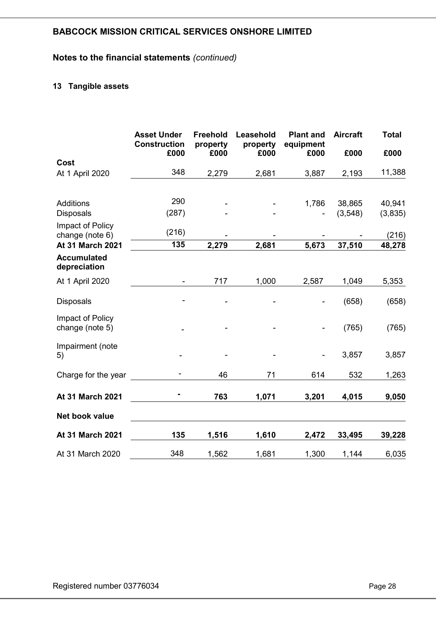## Notes to the financial statements (continued)

## 13 Tangible assets

|                                     | <b>Asset Under</b><br><b>Construction</b><br>£000 | <b>Freehold</b><br>property<br>£000 | Leasehold<br>property<br>£000 | <b>Plant and</b><br>equipment<br>£000 | <b>Aircraft</b><br>£000 | <b>Total</b><br>£000 |
|-------------------------------------|---------------------------------------------------|-------------------------------------|-------------------------------|---------------------------------------|-------------------------|----------------------|
| Cost                                |                                                   |                                     |                               |                                       |                         |                      |
| At 1 April 2020                     | 348                                               | 2,279                               | 2,681                         | 3,887                                 | 2,193                   | 11,388               |
|                                     |                                                   |                                     |                               |                                       |                         |                      |
| Additions                           | 290                                               |                                     |                               | 1,786                                 | 38,865                  | 40,941               |
| <b>Disposals</b>                    | (287)                                             |                                     |                               |                                       | (3,548)                 | (3,835)              |
| Impact of Policy<br>change (note 6) | (216)                                             |                                     |                               |                                       |                         | (216)                |
| At 31 March 2021                    | 135                                               | 2,279                               | 2,681                         | 5,673                                 | 37,510                  | 48,278               |
| <b>Accumulated</b><br>depreciation  |                                                   |                                     |                               |                                       |                         |                      |
| At 1 April 2020                     | $\overline{\phantom{a}}$                          | 717                                 | 1,000                         | 2,587                                 | 1,049                   | 5,353                |
| <b>Disposals</b>                    |                                                   |                                     |                               |                                       | (658)                   | (658)                |
| Impact of Policy<br>change (note 5) |                                                   |                                     |                               |                                       | (765)                   | (765)                |
| Impairment (note<br>5)              |                                                   |                                     |                               |                                       | 3,857                   | 3,857                |
| Charge for the year                 |                                                   | 46                                  | 71                            | 614                                   | 532                     | 1,263                |
| At 31 March 2021                    |                                                   | 763                                 | 1,071                         | 3,201                                 | 4,015                   | 9,050                |
| Net book value                      |                                                   |                                     |                               |                                       |                         |                      |
| At 31 March 2021                    | 135                                               | 1,516                               | 1,610                         | 2,472                                 | 33,495                  | 39,228               |
| At 31 March 2020                    | 348                                               | 1,562                               | 1,681                         | 1,300                                 | 1,144                   | 6,035                |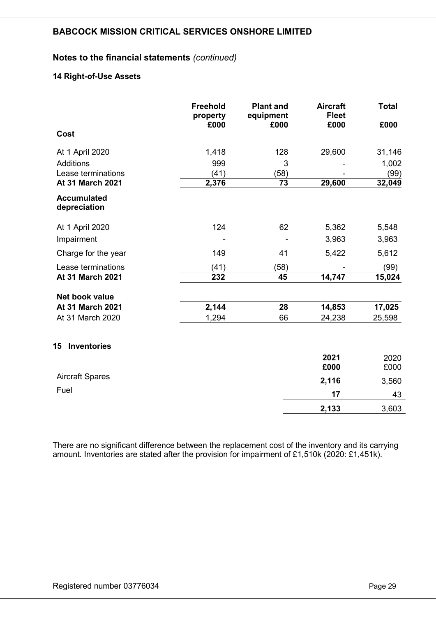## Notes to the financial statements (continued)

## 14 Right-of-Use Assets

|                                    | <b>Freehold</b><br>property<br>£000 | <b>Plant and</b><br>equipment<br>£000 | <b>Aircraft</b><br><b>Fleet</b><br>£000 | <b>Total</b><br>£000 |
|------------------------------------|-------------------------------------|---------------------------------------|-----------------------------------------|----------------------|
| Cost                               |                                     |                                       |                                         |                      |
| At 1 April 2020                    | 1,418                               | 128                                   | 29,600                                  | 31,146               |
| <b>Additions</b>                   | 999                                 | 3                                     |                                         | 1,002                |
| Lease terminations                 | (41)                                | (58)                                  |                                         | (99)                 |
| At 31 March 2021                   | 2,376                               | 73                                    | 29,600                                  | 32,049               |
| <b>Accumulated</b><br>depreciation |                                     |                                       |                                         |                      |
| At 1 April 2020                    | 124                                 | 62                                    | 5,362                                   | 5,548                |
| Impairment                         |                                     |                                       | 3,963                                   | 3,963                |
| Charge for the year                | 149                                 | 41                                    | 5,422                                   | 5,612                |
| Lease terminations                 | (41)                                | (58)                                  |                                         | (99)                 |
| At 31 March 2021                   | 232                                 | 45                                    | 14,747                                  | 15,024               |
| Net book value                     |                                     |                                       |                                         |                      |
| At 31 March 2021                   | 2,144                               | 28                                    | 14,853                                  | 17,025               |
| At 31 March 2020                   | 1,294                               | 66                                    | 24,238                                  | 25,598               |
| <b>Inventories</b><br>15           |                                     |                                       |                                         |                      |
|                                    |                                     |                                       | 2021<br>£000                            | 2020<br>£000         |
| <b>Aircraft Spares</b>             |                                     |                                       | 2,116                                   | 3,560                |
| Fuel                               |                                     |                                       | 17                                      | 43                   |
|                                    |                                     |                                       | 2,133                                   | 3,603                |

There are no significant difference between the replacement cost of the inventory and its carrying amount. Inventories are stated after the provision for impairment of £1,510k (2020: £1,451k).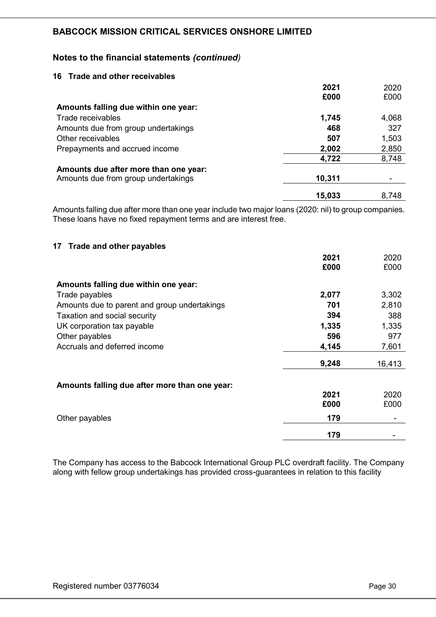## Notes to the financial statements (continued)

#### 16 Trade and other receivables

|                                       | 2021   | 2020  |
|---------------------------------------|--------|-------|
|                                       | £000   | £000  |
| Amounts falling due within one year:  |        |       |
| Trade receivables                     | 1,745  | 4,068 |
| Amounts due from group undertakings   | 468    | 327   |
| Other receivables                     | 507    | 1,503 |
| Prepayments and accrued income        | 2,002  | 2,850 |
|                                       | 4,722  | 8,748 |
| Amounts due after more than one year: |        |       |
| Amounts due from group undertakings   | 10,311 |       |
|                                       | 15,033 | 8,748 |

Amounts falling due after more than one year include two major loans (2020: nil) to group companies. These loans have no fixed repayment terms and are interest free.

#### 17 Trade and other payables

|                                               | 2021<br>£000 | 2020<br>£000 |
|-----------------------------------------------|--------------|--------------|
| Amounts falling due within one year:          |              |              |
| Trade payables                                | 2,077        | 3,302        |
| Amounts due to parent and group undertakings  | 701          | 2,810        |
| Taxation and social security                  | 394          | 388          |
| UK corporation tax payable                    | 1,335        | 1,335        |
| Other payables                                | 596          | 977          |
| Accruals and deferred income                  | 4,145        | 7,601        |
|                                               | 9,248        | 16,413       |
| Amounts falling due after more than one year: |              |              |
|                                               | 2021         | 2020         |
|                                               | £000         | £000         |
| Other payables                                | 179          |              |
|                                               | 179          |              |

The Company has access to the Babcock International Group PLC overdraft facility. The Company along with fellow group undertakings has provided cross-guarantees in relation to this facility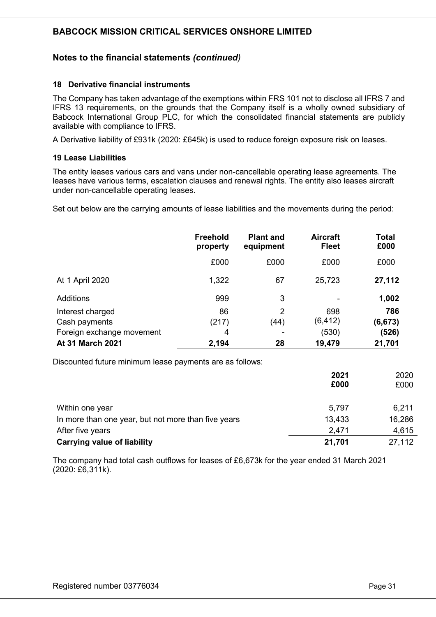## Notes to the financial statements (continued)

#### 18 Derivative financial instruments

The Company has taken advantage of the exemptions within FRS 101 not to disclose all IFRS 7 and IFRS 13 requirements, on the grounds that the Company itself is a wholly owned subsidiary of Babcock International Group PLC, for which the consolidated financial statements are publicly available with compliance to IFRS.

A Derivative liability of £931k (2020: £645k) is used to reduce foreign exposure risk on leases.

#### 19 Lease Liabilities

The entity leases various cars and vans under non-cancellable operating lease agreements. The leases have various terms, escalation clauses and renewal rights. The entity also leases aircraft under non-cancellable operating leases.

Set out below are the carrying amounts of lease liabilities and the movements during the period:

|                           | <b>Freehold</b><br>property | <b>Plant and</b><br>equipment | <b>Aircraft</b><br><b>Fleet</b> | <b>Total</b><br>£000 |
|---------------------------|-----------------------------|-------------------------------|---------------------------------|----------------------|
|                           | £000                        | £000                          | £000                            | £000                 |
| At 1 April 2020           | 1,322                       | 67                            | 25,723                          | 27,112               |
| Additions                 | 999                         | 3                             |                                 | 1,002                |
| Interest charged          | 86                          | $\overline{2}$                | 698                             | 786                  |
| Cash payments             | (217)                       | (44)                          | (6, 412)                        | (6, 673)             |
| Foreign exchange movement | 4                           |                               | (530)                           | (526)                |
| At 31 March 2021          | 2,194                       | 28                            | 19,479                          | 21,701               |

Discounted future minimum lease payments are as follows:

|                                                     | 2021<br>£000 | 2020<br>£000 |
|-----------------------------------------------------|--------------|--------------|
| Within one year                                     | 5,797        | 6,211        |
| In more than one year, but not more than five years | 13,433       | 16,286       |
| After five years                                    | 2,471        | 4,615        |
| <b>Carrying value of liability</b>                  | 21,701       | 27,112       |

The company had total cash outflows for leases of £6,673k for the year ended 31 March 2021 (2020: £6,311k).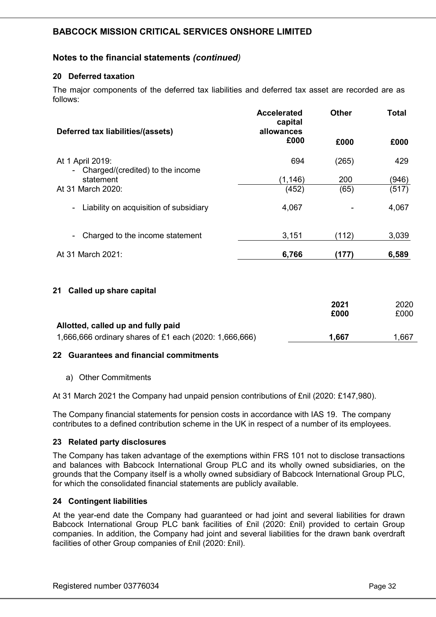## Notes to the financial statements (continued)

## 20 Deferred taxation

The major components of the deferred tax liabilities and deferred tax asset are recorded are as follows:

| Deferred tax liabilities/(assets)                      | <b>Accelerated</b><br>capital<br>allowances | <b>Other</b> | Total |
|--------------------------------------------------------|---------------------------------------------|--------------|-------|
|                                                        | £000                                        | £000         | £000  |
| At 1 April 2019:<br>- Charged/(credited) to the income | 694                                         | (265)        | 429   |
| statement                                              | (1, 146)                                    | 200          | (946) |
| At 31 March 2020:                                      | (452)                                       | (65)         | (517) |
| Liability on acquisition of subsidiary<br>٠            | 4,067                                       |              | 4,067 |
| Charged to the income statement                        | 3,151                                       | (112)        | 3,039 |
| At 31 March 2021:                                      | 6,766                                       | (177)        | 6,589 |

#### 21 Called up share capital

|                                                        | 2021  | 2020 |
|--------------------------------------------------------|-------|------|
|                                                        | £000  | £000 |
| Allotted, called up and fully paid                     |       |      |
| 1,666,666 ordinary shares of £1 each (2020: 1,666,666) | 1.667 | .667 |

#### 22 Guarantees and financial commitments

a) Other Commitments

At 31 March 2021 the Company had unpaid pension contributions of £nil (2020: £147,980).

The Company financial statements for pension costs in accordance with IAS 19. The company contributes to a defined contribution scheme in the UK in respect of a number of its employees.

#### 23 Related party disclosures

The Company has taken advantage of the exemptions within FRS 101 not to disclose transactions and balances with Babcock International Group PLC and its wholly owned subsidiaries, on the grounds that the Company itself is a wholly owned subsidiary of Babcock International Group PLC, for which the consolidated financial statements are publicly available.

#### 24 Contingent liabilities

At the year-end date the Company had guaranteed or had joint and several liabilities for drawn Babcock International Group PLC bank facilities of £nil (2020: £nil) provided to certain Group companies. In addition, the Company had joint and several liabilities for the drawn bank overdraft facilities of other Group companies of £nil (2020: £nil).